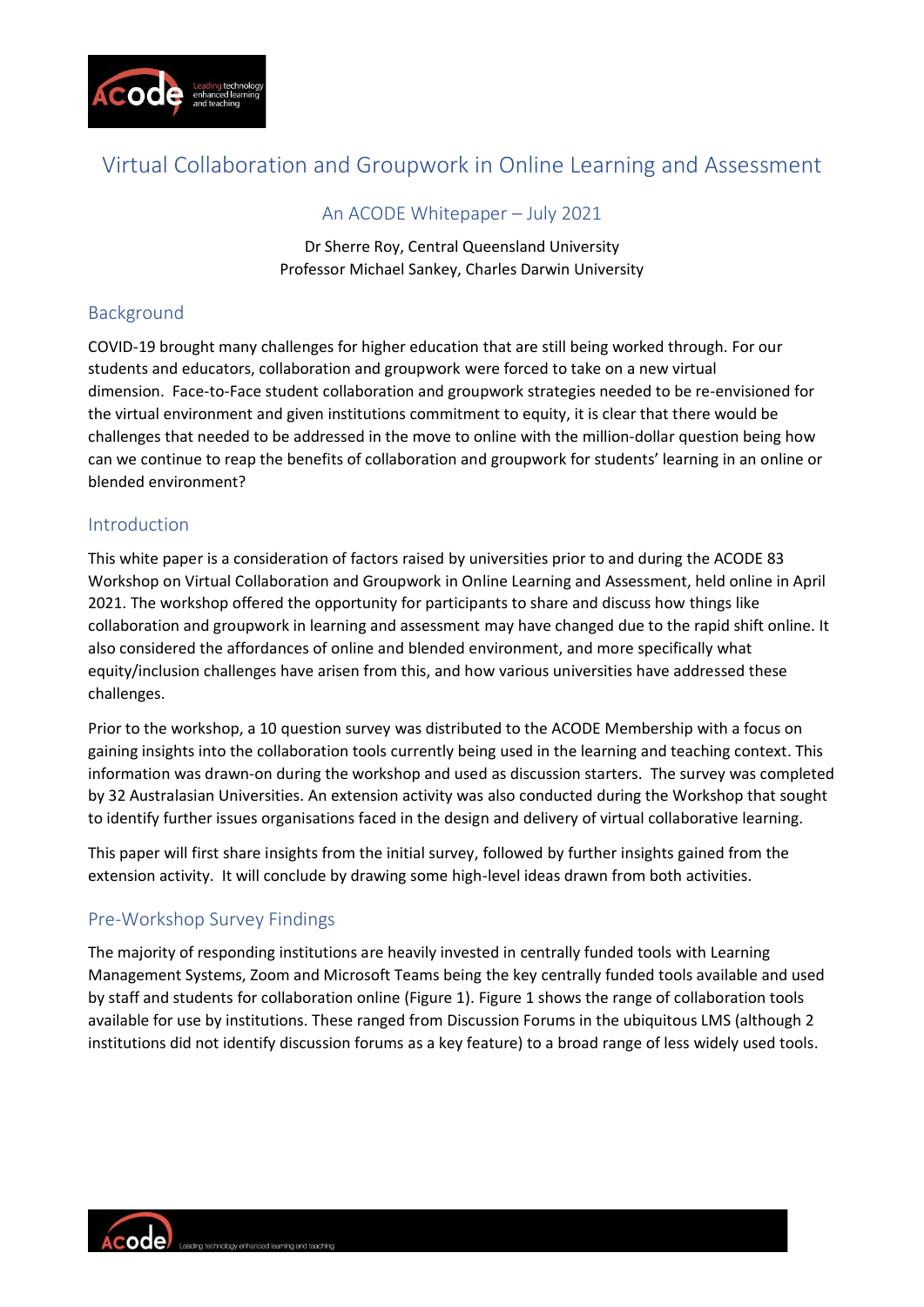

## Virtual Collaboration and Groupwork in Online Learning and Assessment

#### An ACODE Whitepaper – July 2021

Dr Sherre Roy, Central Queensland University Professor Michael Sankey, Charles Darwin University

## Background

COVID-19 brought many challenges for higher education that are still being worked through. For our students and educators, collaboration and groupwork were forced to take on a new virtual dimension. Face-to-Face student collaboration and groupwork strategies needed to be re-envisioned for the virtual environment and given institutions commitment to equity, it is clear that there would be challenges that needed to be addressed in the move to online with the million-dollar question being how can we continue to reap the benefits of collaboration and groupwork for students' learning in an online or blended environment?

## Introduction

This white paper is a consideration of factors raised by universities prior to and during the ACODE 83 Workshop on Virtual Collaboration and Groupwork in Online Learning and Assessment, held online in April 2021. The workshop offered the opportunity for participants to share and discuss how things like collaboration and groupwork in learning and assessment may have changed due to the rapid shift online. It also considered the affordances of online and blended environment, and more specifically what equity/inclusion challenges have arisen from this, and how various universities have addressed these challenges.

Prior to the workshop, a 10 question survey was distributed to the ACODE Membership with a focus on gaining insights into the collaboration tools currently being used in the learning and teaching context. This information was drawn-on during the workshop and used as discussion starters. The survey was completed by 32 Australasian Universities. An extension activity was also conducted during the Workshop that sought to identify further issues organisations faced in the design and delivery of virtual collaborative learning.

This paper will first share insights from the initial survey, followed by further insights gained from the extension activity. It will conclude by drawing some high-level ideas drawn from both activities.

## Pre-Workshop Survey Findings

The majority of responding institutions are heavily invested in centrally funded tools with Learning Management Systems, Zoom and Microsoft Teams being the key centrally funded tools available and used by staff and students for collaboration online (Figure 1). Figure 1 shows the range of collaboration tools available for use by institutions. These ranged from Discussion Forums in the ubiquitous LMS (although 2 institutions did not identify discussion forums as a key feature) to a broad range of less widely used tools.

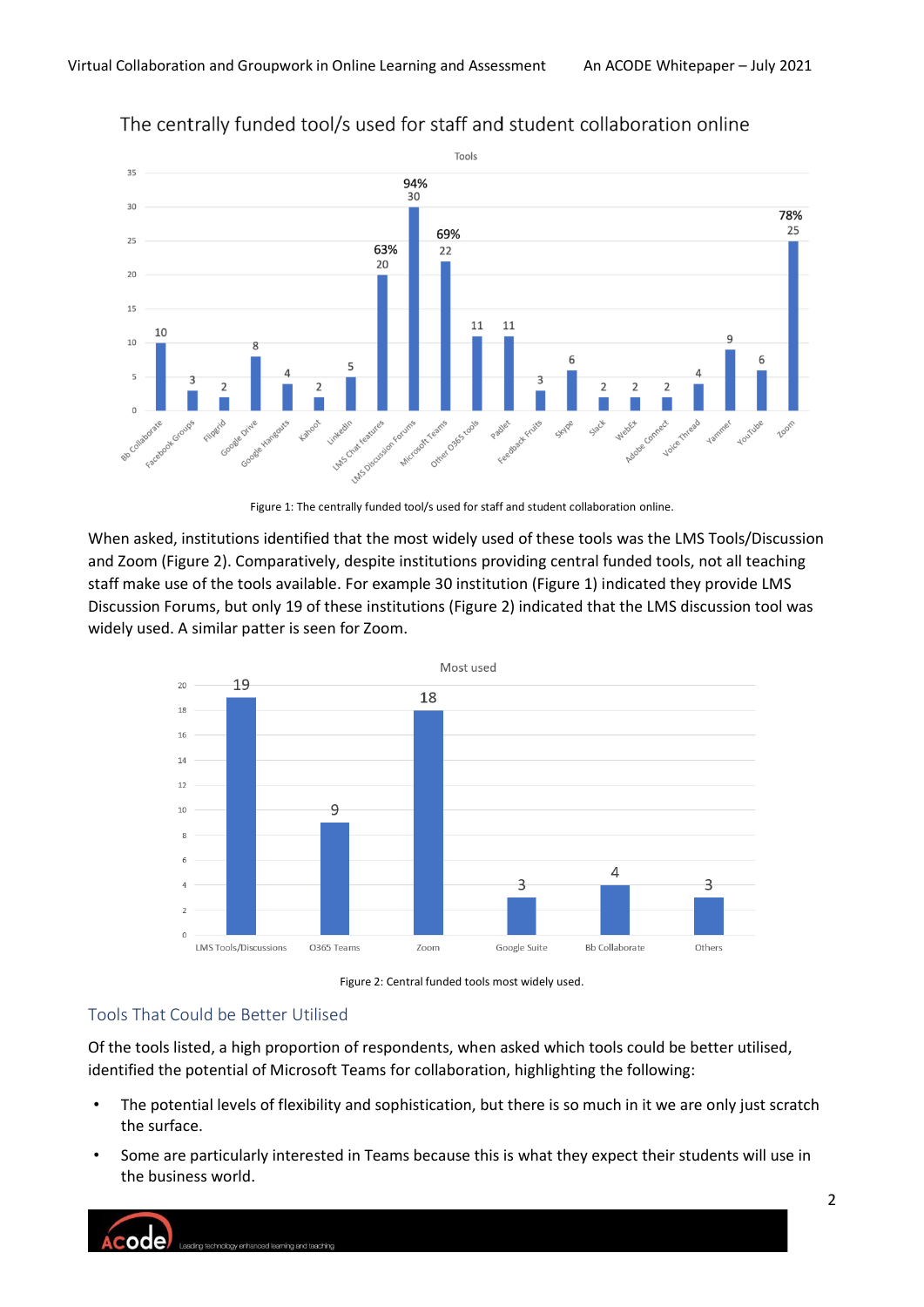

## The centrally funded tool/s used for staff and student collaboration online



When asked, institutions identified that the most widely used of these tools was the LMS Tools/Discussion and Zoom (Figure 2). Comparatively, despite institutions providing central funded tools, not all teaching staff make use of the tools available. For example 30 institution (Figure 1) indicated they provide LMS Discussion Forums, but only 19 of these institutions (Figure 2) indicated that the LMS discussion tool was widely used. A similar patter is seen for Zoom.





## Tools That Could be Better Utilised

Of the tools listed, a high proportion of respondents, when asked which tools could be better utilised, identified the potential of Microsoft Teams for collaboration, highlighting the following:

- The potential levels of flexibility and sophistication, but there is so much in it we are only just scratch the surface.
- Some are particularly interested in Teams because this is what they expect their students will use in the business world.

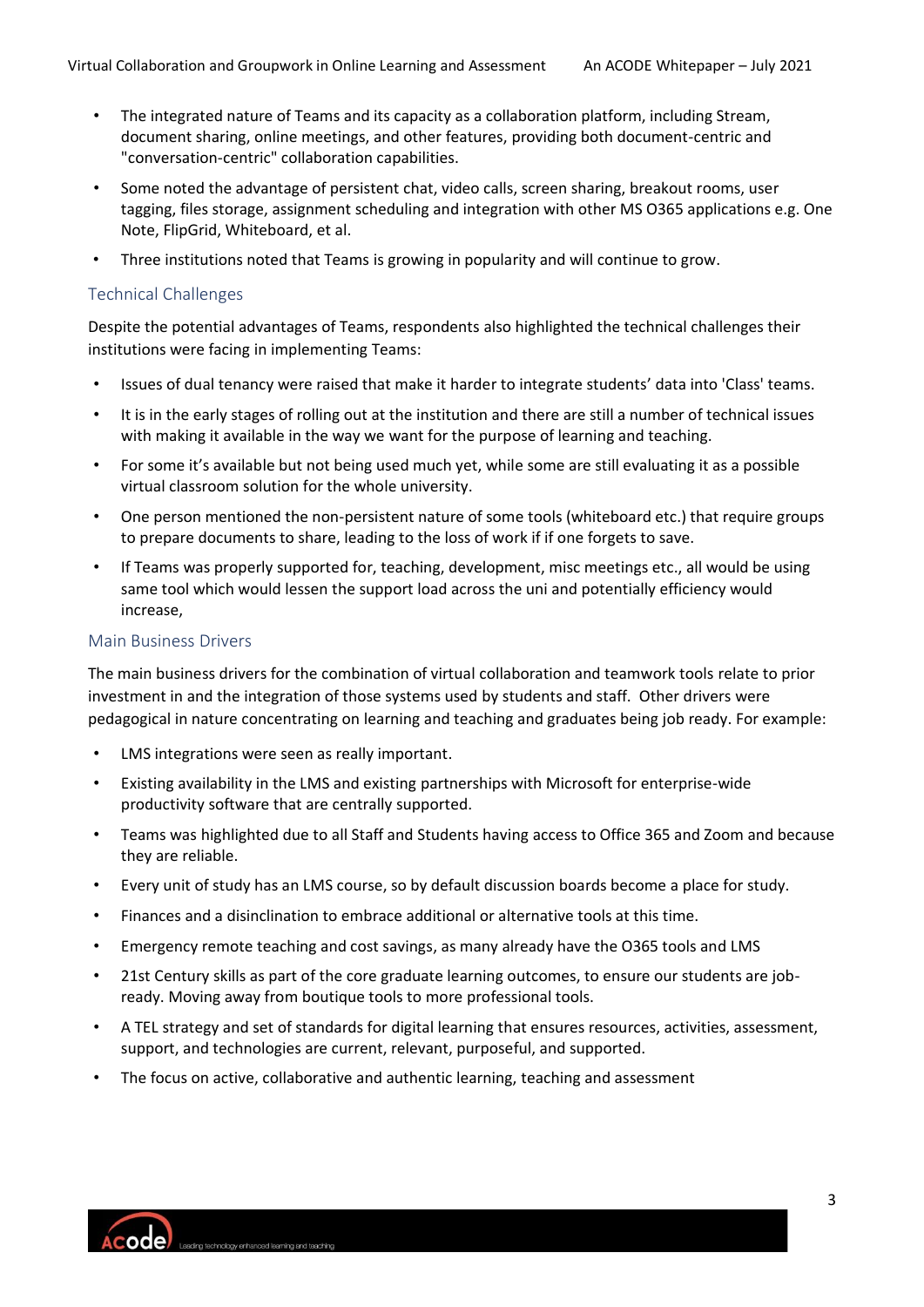- The integrated nature of Teams and its capacity as a collaboration platform, including Stream, document sharing, online meetings, and other features, providing both document-centric and "conversation-centric" collaboration capabilities.
- Some noted the advantage of persistent chat, video calls, screen sharing, breakout rooms, user tagging, files storage, assignment scheduling and integration with other MS O365 applications e.g. One Note, FlipGrid, Whiteboard, et al.
- Three institutions noted that Teams is growing in popularity and will continue to grow.

#### Technical Challenges

Despite the potential advantages of Teams, respondents also highlighted the technical challenges their institutions were facing in implementing Teams:

- Issues of dual tenancy were raised that make it harder to integrate students' data into 'Class' teams.
- It is in the early stages of rolling out at the institution and there are still a number of technical issues with making it available in the way we want for the purpose of learning and teaching.
- For some it's available but not being used much yet, while some are still evaluating it as a possible virtual classroom solution for the whole university.
- One person mentioned the non-persistent nature of some tools (whiteboard etc.) that require groups to prepare documents to share, leading to the loss of work if if one forgets to save.
- If Teams was properly supported for, teaching, development, misc meetings etc., all would be using same tool which would lessen the support load across the uni and potentially efficiency would increase,

#### Main Business Drivers

The main business drivers for the combination of virtual collaboration and teamwork tools relate to prior investment in and the integration of those systems used by students and staff. Other drivers were pedagogical in nature concentrating on learning and teaching and graduates being job ready. For example:

- LMS integrations were seen as really important.
- Existing availability in the LMS and existing partnerships with Microsoft for enterprise-wide productivity software that are centrally supported.
- Teams was highlighted due to all Staff and Students having access to Office 365 and Zoom and because they are reliable.
- Every unit of study has an LMS course, so by default discussion boards become a place for study.
- Finances and a disinclination to embrace additional or alternative tools at this time.
- Emergency remote teaching and cost savings, as many already have the O365 tools and LMS
- 21st Century skills as part of the core graduate learning outcomes, to ensure our students are jobready. Moving away from boutique tools to more professional tools.
- A TEL strategy and set of standards for digital learning that ensures resources, activities, assessment, support, and technologies are current, relevant, purposeful, and supported.
- The focus on active, collaborative and authentic learning, teaching and assessment

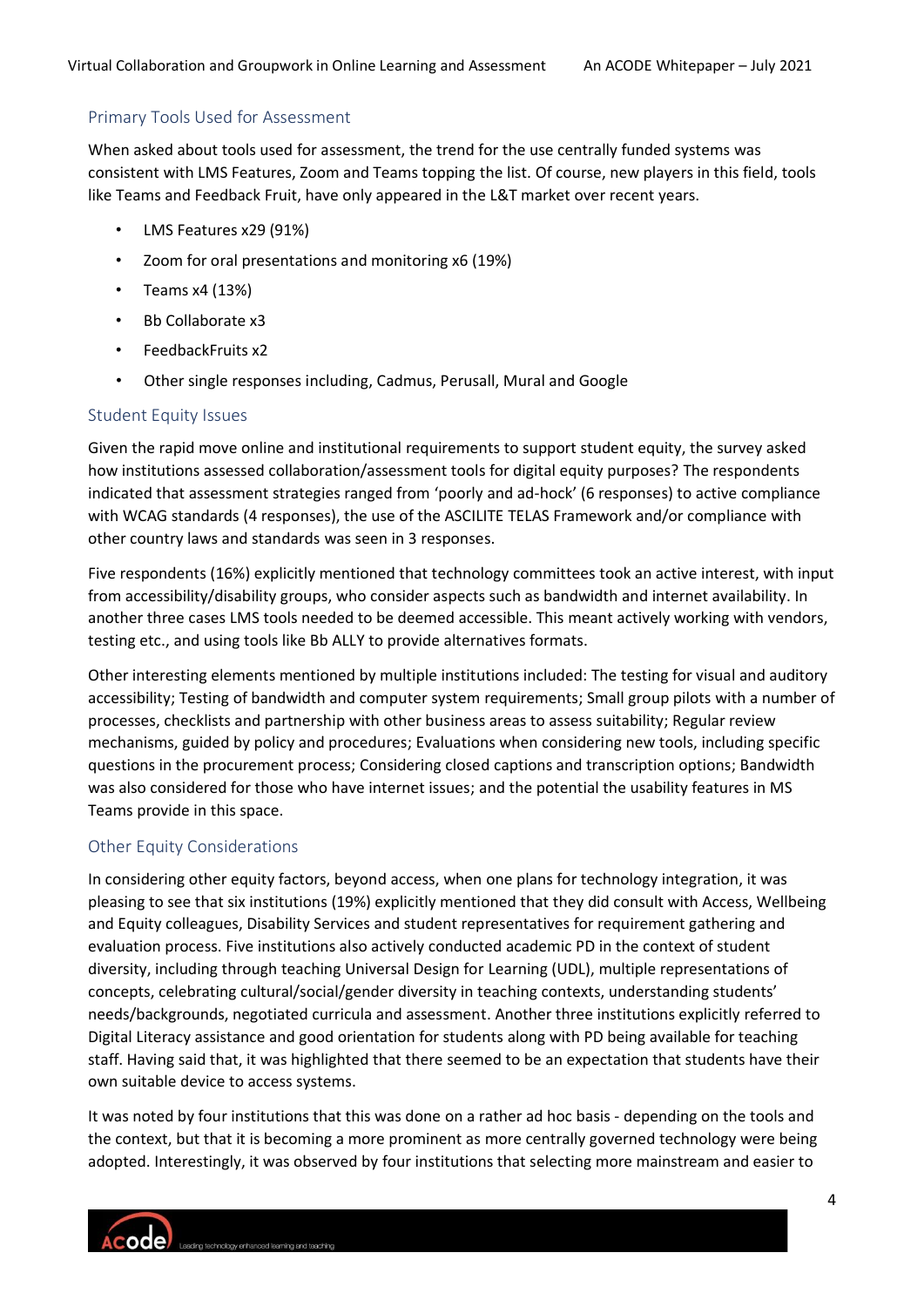#### Primary Tools Used for Assessment

When asked about tools used for assessment, the trend for the use centrally funded systems was consistent with LMS Features, Zoom and Teams topping the list. Of course, new players in this field, tools like Teams and Feedback Fruit, have only appeared in the L&T market over recent years.

- LMS Features x29 (91%)
- Zoom for oral presentations and monitoring x6 (19%)
- Teams  $x4(13%)$
- Bb Collaborate x3
- FeedbackFruits x2
- Other single responses including, Cadmus, Perusall, Mural and Google

#### Student Equity Issues

Given the rapid move online and institutional requirements to support student equity, the survey asked how institutions assessed collaboration/assessment tools for digital equity purposes? The respondents indicated that assessment strategies ranged from 'poorly and ad-hock' (6 responses) to active compliance with WCAG standards (4 responses), the use of the ASCILITE TELAS Framework and/or compliance with other country laws and standards was seen in 3 responses.

Five respondents (16%) explicitly mentioned that technology committees took an active interest, with input from accessibility/disability groups, who consider aspects such as bandwidth and internet availability. In another three cases LMS tools needed to be deemed accessible. This meant actively working with vendors, testing etc., and using tools like Bb ALLY to provide alternatives formats.

Other interesting elements mentioned by multiple institutions included: The testing for visual and auditory accessibility; Testing of bandwidth and computer system requirements; Small group pilots with a number of processes, checklists and partnership with other business areas to assess suitability; Regular review mechanisms, guided by policy and procedures; Evaluations when considering new tools, including specific questions in the procurement process; Considering closed captions and transcription options; Bandwidth was also considered for those who have internet issues; and the potential the usability features in MS Teams provide in this space.

#### Other Equity Considerations

In considering other equity factors, beyond access, when one plans for technology integration, it was pleasing to see that six institutions (19%) explicitly mentioned that they did consult with Access, Wellbeing and Equity colleagues, Disability Services and student representatives for requirement gathering and evaluation process. Five institutions also actively conducted academic PD in the context of student diversity, including through teaching Universal Design for Learning (UDL), multiple representations of concepts, celebrating cultural/social/gender diversity in teaching contexts, understanding students' needs/backgrounds, negotiated curricula and assessment. Another three institutions explicitly referred to Digital Literacy assistance and good orientation for students along with PD being available for teaching staff. Having said that, it was highlighted that there seemed to be an expectation that students have their own suitable device to access systems.

It was noted by four institutions that this was done on a rather ad hoc basis - depending on the tools and the context, but that it is becoming a more prominent as more centrally governed technology were being adopted. Interestingly, it was observed by four institutions that selecting more mainstream and easier to

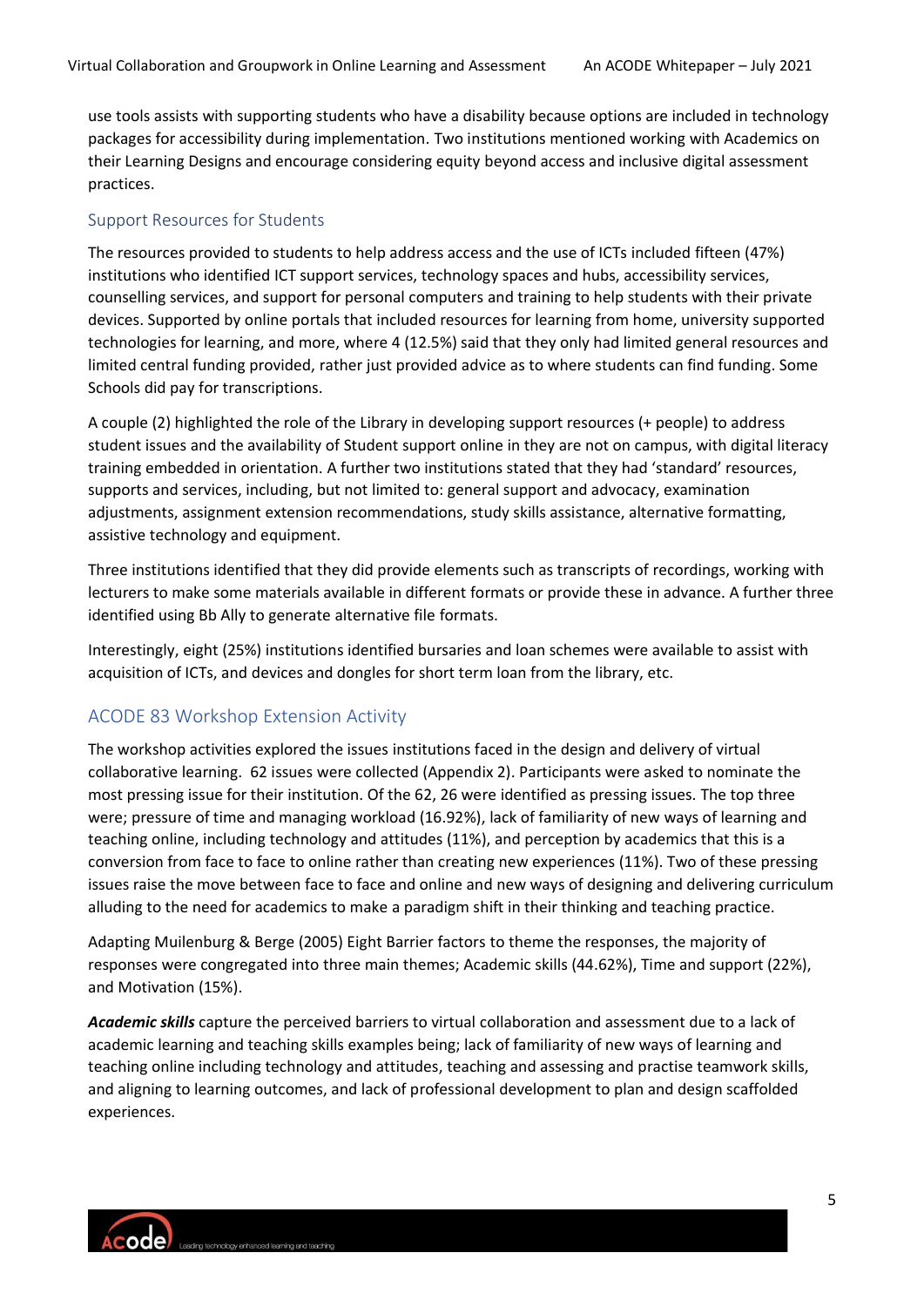use tools assists with supporting students who have a disability because options are included in technology packages for accessibility during implementation. Two institutions mentioned working with Academics on their Learning Designs and encourage considering equity beyond access and inclusive digital assessment practices.

#### Support Resources for Students

The resources provided to students to help address access and the use of ICTs included fifteen (47%) institutions who identified ICT support services, technology spaces and hubs, accessibility services, counselling services, and support for personal computers and training to help students with their private devices. Supported by online portals that included resources for learning from home, university supported technologies for learning, and more, where 4 (12.5%) said that they only had limited general resources and limited central funding provided, rather just provided advice as to where students can find funding. Some Schools did pay for transcriptions.

A couple (2) highlighted the role of the Library in developing support resources (+ people) to address student issues and the availability of Student support online in they are not on campus, with digital literacy training embedded in orientation. A further two institutions stated that they had 'standard' resources, supports and services, including, but not limited to: general support and advocacy, examination adjustments, assignment extension recommendations, study skills assistance, alternative formatting, assistive technology and equipment.

Three institutions identified that they did provide elements such as transcripts of recordings, working with lecturers to make some materials available in different formats or provide these in advance. A further three identified using Bb Ally to generate alternative file formats.

Interestingly, eight (25%) institutions identified bursaries and loan schemes were available to assist with acquisition of ICTs, and devices and dongles for short term loan from the library, etc.

## ACODE 83 Workshop Extension Activity

The workshop activities explored the issues institutions faced in the design and delivery of virtual collaborative learning. 62 issues were collected (Appendix 2). Participants were asked to nominate the most pressing issue for their institution. Of the 62, 26 were identified as pressing issues. The top three were; pressure of time and managing workload (16.92%), lack of familiarity of new ways of learning and teaching online, including technology and attitudes (11%), and perception by academics that this is a conversion from face to face to online rather than creating new experiences (11%). Two of these pressing issues raise the move between face to face and online and new ways of designing and delivering curriculum alluding to the need for academics to make a paradigm shift in their thinking and teaching practice.

Adapting Muilenburg & Berge (2005) Eight Barrier factors to theme the responses, the majority of responses were congregated into three main themes; Academic skills (44.62%), Time and support (22%), and Motivation (15%).

*Academic skills* capture the perceived barriers to virtual collaboration and assessment due to a lack of academic learning and teaching skills examples being; lack of familiarity of new ways of learning and teaching online including technology and attitudes, teaching and assessing and practise teamwork skills, and aligning to learning outcomes, and lack of professional development to plan and design scaffolded experiences.

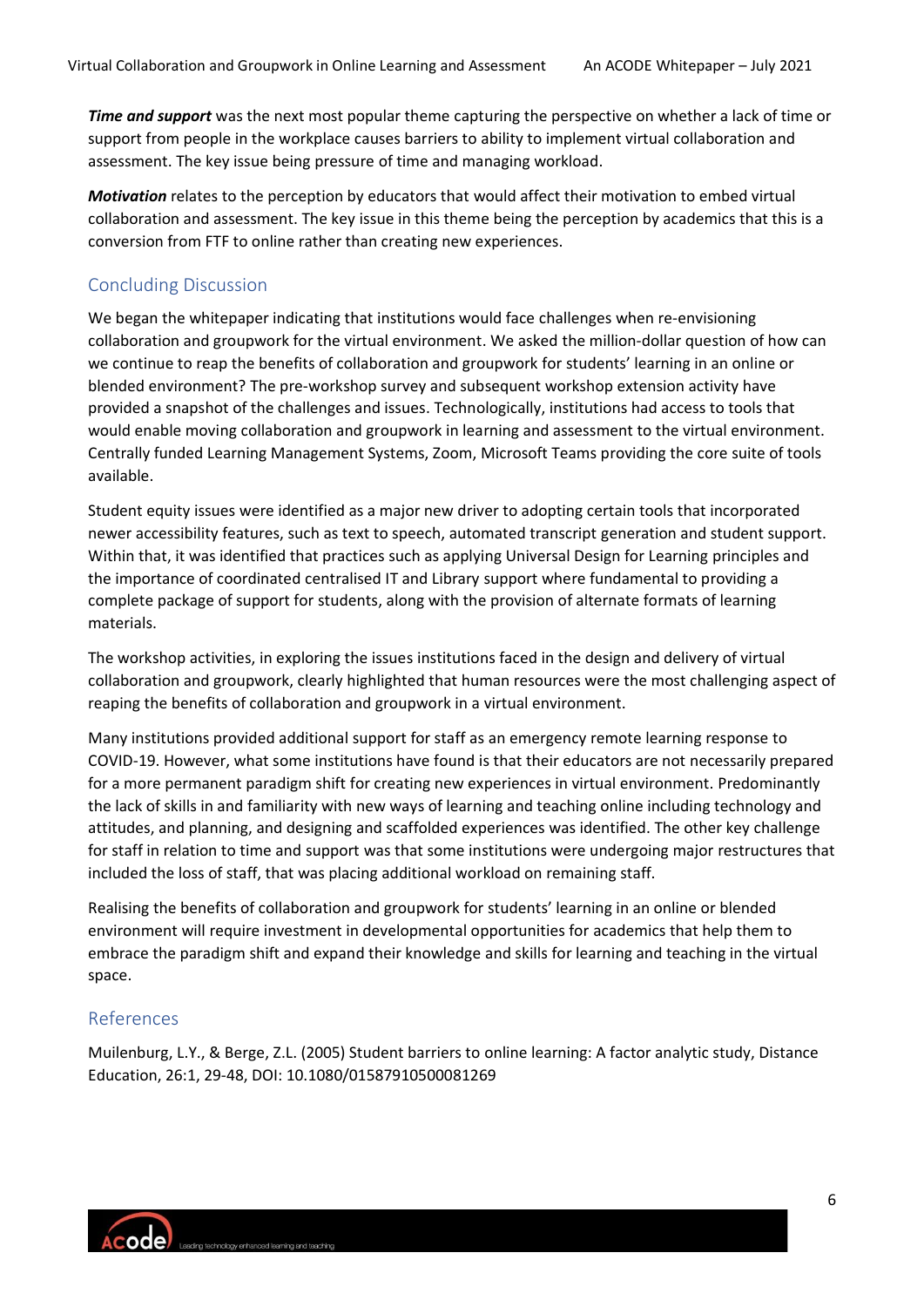*Time and support* was the next most popular theme capturing the perspective on whether a lack of time or support from people in the workplace causes barriers to ability to implement virtual collaboration and assessment. The key issue being pressure of time and managing workload.

*Motivation* relates to the perception by educators that would affect their motivation to embed virtual collaboration and assessment. The key issue in this theme being the perception by academics that this is a conversion from FTF to online rather than creating new experiences.

## Concluding Discussion

We began the whitepaper indicating that institutions would face challenges when re-envisioning collaboration and groupwork for the virtual environment. We asked the million-dollar question of how can we continue to reap the benefits of collaboration and groupwork for students' learning in an online or blended environment? The pre-workshop survey and subsequent workshop extension activity have provided a snapshot of the challenges and issues. Technologically, institutions had access to tools that would enable moving collaboration and groupwork in learning and assessment to the virtual environment. Centrally funded Learning Management Systems, Zoom, Microsoft Teams providing the core suite of tools available.

Student equity issues were identified as a major new driver to adopting certain tools that incorporated newer accessibility features, such as text to speech, automated transcript generation and student support. Within that, it was identified that practices such as applying Universal Design for Learning principles and the importance of coordinated centralised IT and Library support where fundamental to providing a complete package of support for students, along with the provision of alternate formats of learning materials.

The workshop activities, in exploring the issues institutions faced in the design and delivery of virtual collaboration and groupwork, clearly highlighted that human resources were the most challenging aspect of reaping the benefits of collaboration and groupwork in a virtual environment.

Many institutions provided additional support for staff as an emergency remote learning response to COVID-19. However, what some institutions have found is that their educators are not necessarily prepared for a more permanent paradigm shift for creating new experiences in virtual environment. Predominantly the lack of skills in and familiarity with new ways of learning and teaching online including technology and attitudes, and planning, and designing and scaffolded experiences was identified. The other key challenge for staff in relation to time and support was that some institutions were undergoing major restructures that included the loss of staff, that was placing additional workload on remaining staff.

Realising the benefits of collaboration and groupwork for students' learning in an online or blended environment will require investment in developmental opportunities for academics that help them to embrace the paradigm shift and expand their knowledge and skills for learning and teaching in the virtual space.

## References

Muilenburg, L.Y., & Berge, Z.L. (2005) Student barriers to online learning: A factor analytic study, Distance Education, 26:1, 29-48, DOI: 10.1080/01587910500081269

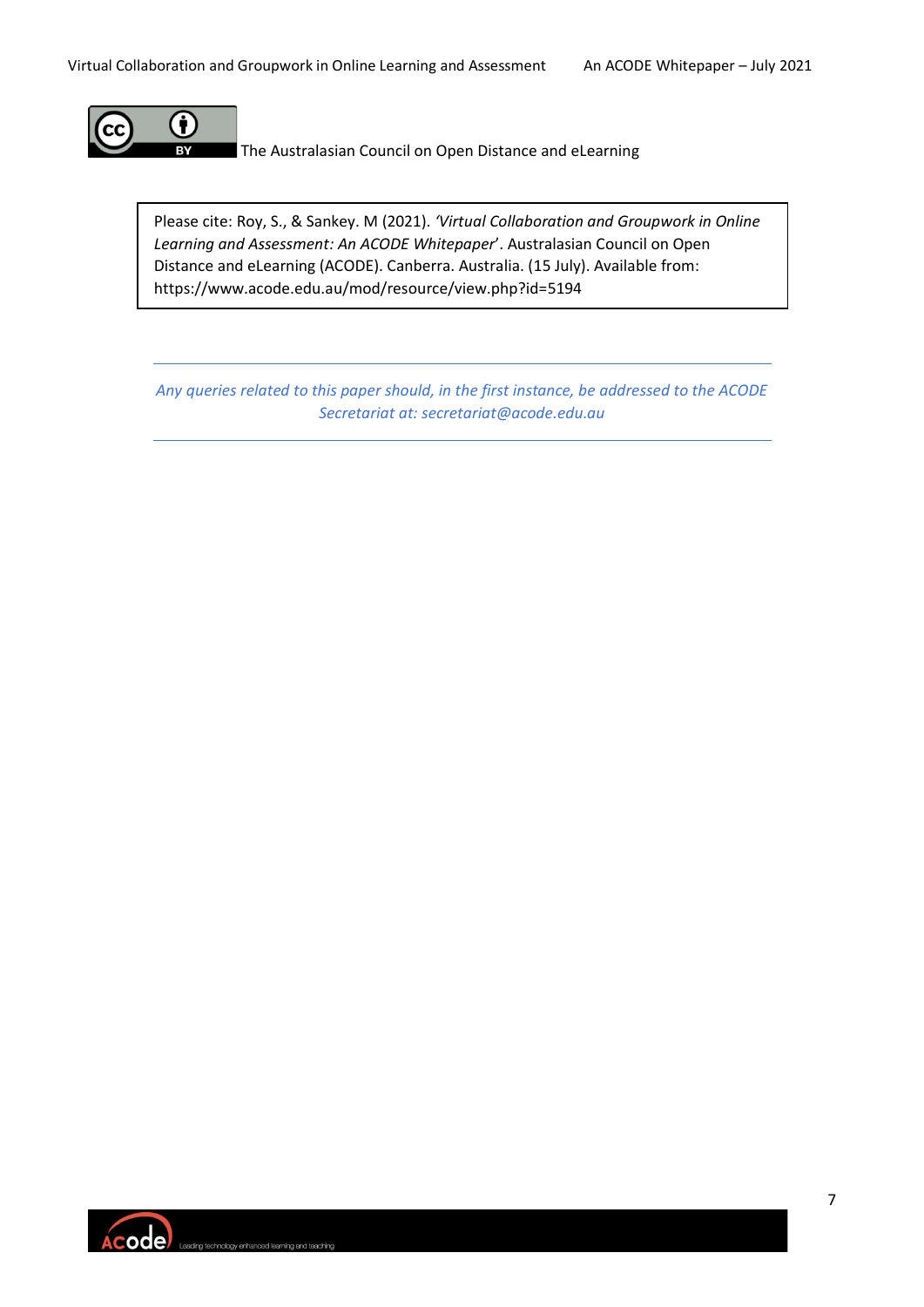

The Australasian Council on Open Distance and eLearning

Please cite: Roy, S., & Sankey. M (2021). *'Virtual Collaboration and Groupwork in Online Learning and Assessment: An ACODE Whitepaper*'. Australasian Council on Open Distance and eLearning (ACODE). Canberra. Australia. (15 July). Available from: https://www.acode.edu.au/mod/resource/view.php?id=5194

*Any queries related to this paper should, in the first instance, be addressed to the ACODE Secretariat at: secretariat@acode.edu.au*

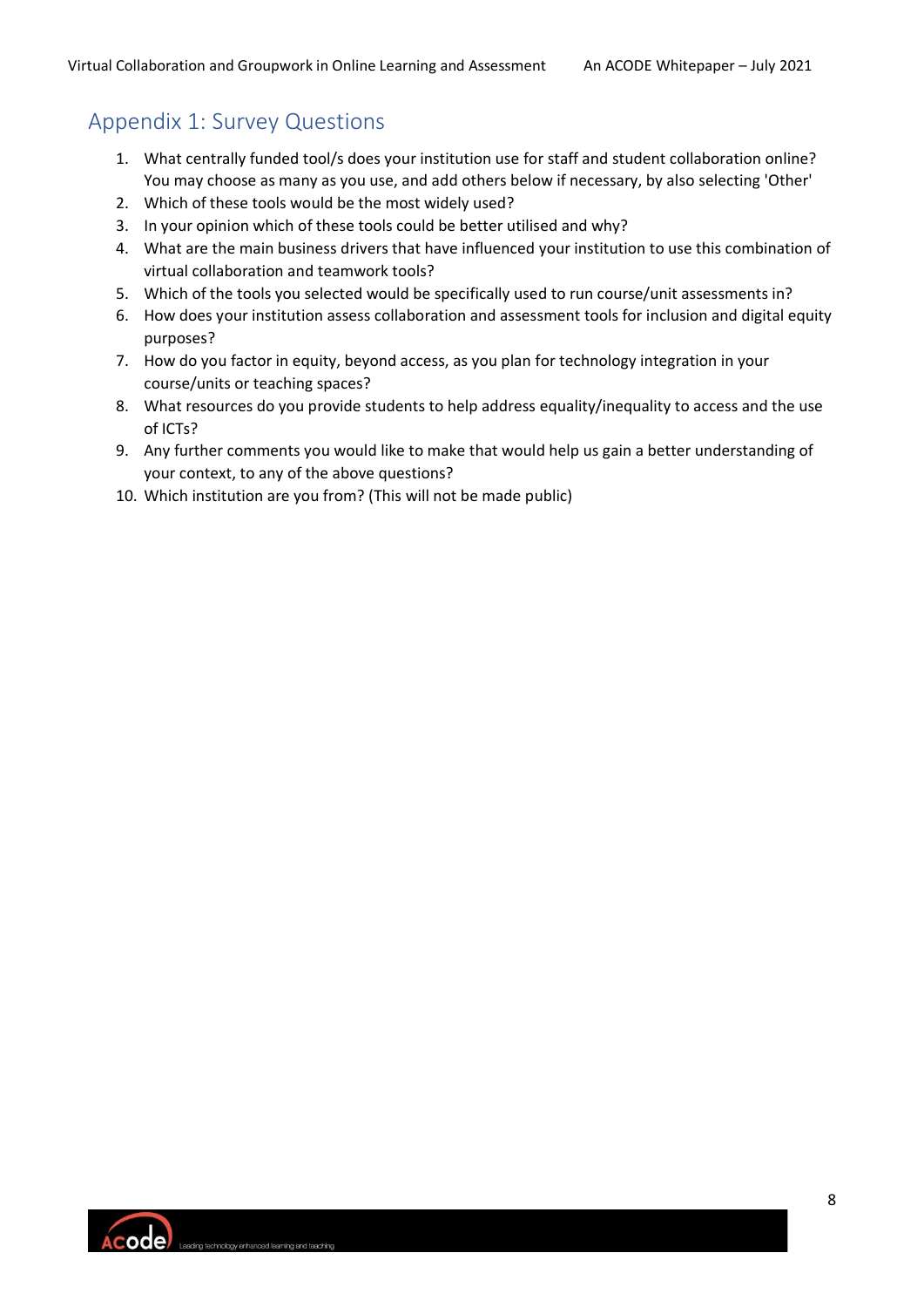## Appendix 1: Survey Questions

- 1. What centrally funded tool/s does your institution use for staff and student collaboration online? You may choose as many as you use, and add others below if necessary, by also selecting 'Other'
- 2. Which of these tools would be the most widely used?
- 3. In your opinion which of these tools could be better utilised and why?
- 4. What are the main business drivers that have influenced your institution to use this combination of virtual collaboration and teamwork tools?
- 5. Which of the tools you selected would be specifically used to run course/unit assessments in?
- 6. How does your institution assess collaboration and assessment tools for inclusion and digital equity purposes?
- 7. How do you factor in equity, beyond access, as you plan for technology integration in your course/units or teaching spaces?
- 8. What resources do you provide students to help address equality/inequality to access and the use of ICTs?
- 9. Any further comments you would like to make that would help us gain a better understanding of your context, to any of the above questions?
- 10. Which institution are you from? (This will not be made public)

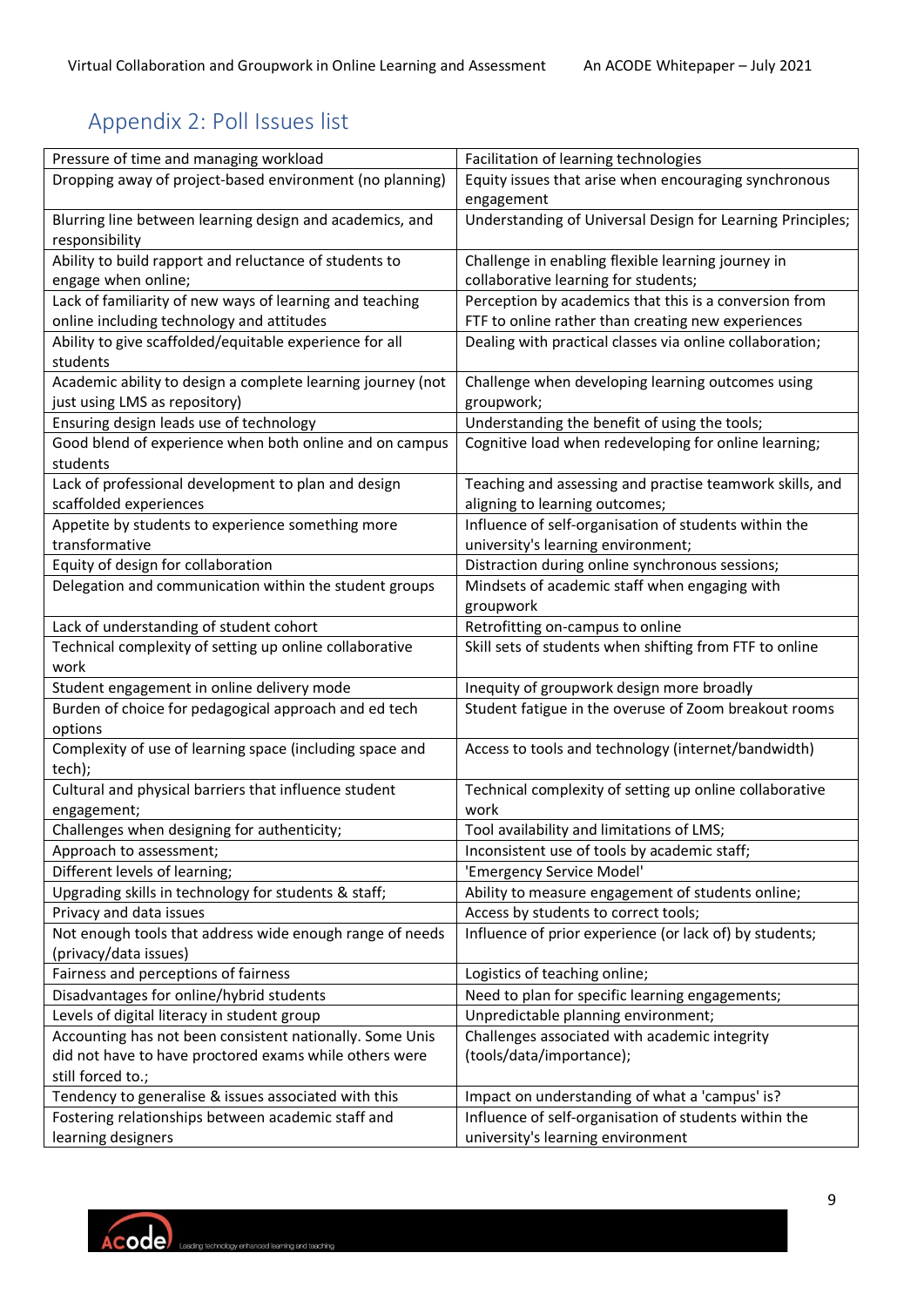# Appendix 2: Poll Issues list

| Pressure of time and managing workload                             | Facilitation of learning technologies                      |
|--------------------------------------------------------------------|------------------------------------------------------------|
| Dropping away of project-based environment (no planning)           | Equity issues that arise when encouraging synchronous      |
|                                                                    | engagement                                                 |
| Blurring line between learning design and academics, and           | Understanding of Universal Design for Learning Principles; |
| responsibility                                                     |                                                            |
| Ability to build rapport and reluctance of students to             | Challenge in enabling flexible learning journey in         |
| engage when online;                                                | collaborative learning for students;                       |
| Lack of familiarity of new ways of learning and teaching           | Perception by academics that this is a conversion from     |
| online including technology and attitudes                          | FTF to online rather than creating new experiences         |
| Ability to give scaffolded/equitable experience for all            | Dealing with practical classes via online collaboration;   |
| students                                                           |                                                            |
| Academic ability to design a complete learning journey (not        | Challenge when developing learning outcomes using          |
| just using LMS as repository)                                      | groupwork;                                                 |
| Ensuring design leads use of technology                            | Understanding the benefit of using the tools;              |
| Good blend of experience when both online and on campus            | Cognitive load when redeveloping for online learning;      |
| students                                                           |                                                            |
| Lack of professional development to plan and design                | Teaching and assessing and practise teamwork skills, and   |
| scaffolded experiences                                             | aligning to learning outcomes;                             |
| Appetite by students to experience something more                  | Influence of self-organisation of students within the      |
| transformative                                                     | university's learning environment;                         |
| Equity of design for collaboration                                 | Distraction during online synchronous sessions;            |
| Delegation and communication within the student groups             | Mindsets of academic staff when engaging with              |
|                                                                    | groupwork                                                  |
| Lack of understanding of student cohort                            | Retrofitting on-campus to online                           |
| Technical complexity of setting up online collaborative            | Skill sets of students when shifting from FTF to online    |
| work                                                               |                                                            |
| Student engagement in online delivery mode                         | Inequity of groupwork design more broadly                  |
| Burden of choice for pedagogical approach and ed tech              | Student fatigue in the overuse of Zoom breakout rooms      |
| options                                                            |                                                            |
| Complexity of use of learning space (including space and<br>tech); | Access to tools and technology (internet/bandwidth)        |
| Cultural and physical barriers that influence student              | Technical complexity of setting up online collaborative    |
| engagement;                                                        | work                                                       |
| Challenges when designing for authenticity;                        | Tool availability and limitations of LMS;                  |
| Approach to assessment;                                            | Inconsistent use of tools by academic staff;               |
| Different levels of learning;                                      | 'Emergency Service Model'                                  |
| Upgrading skills in technology for students & staff;               | Ability to measure engagement of students online;          |
| Privacy and data issues                                            | Access by students to correct tools;                       |
| Not enough tools that address wide enough range of needs           | Influence of prior experience (or lack of) by students;    |
| (privacy/data issues)                                              |                                                            |
| Fairness and perceptions of fairness                               | Logistics of teaching online;                              |
| Disadvantages for online/hybrid students                           | Need to plan for specific learning engagements;            |
| Levels of digital literacy in student group                        | Unpredictable planning environment;                        |
| Accounting has not been consistent nationally. Some Unis           | Challenges associated with academic integrity              |
| did not have to have proctored exams while others were             | (tools/data/importance);                                   |
| still forced to.;                                                  |                                                            |
| Tendency to generalise & issues associated with this               | Impact on understanding of what a 'campus' is?             |
| Fostering relationships between academic staff and                 | Influence of self-organisation of students within the      |
| learning designers                                                 | university's learning environment                          |